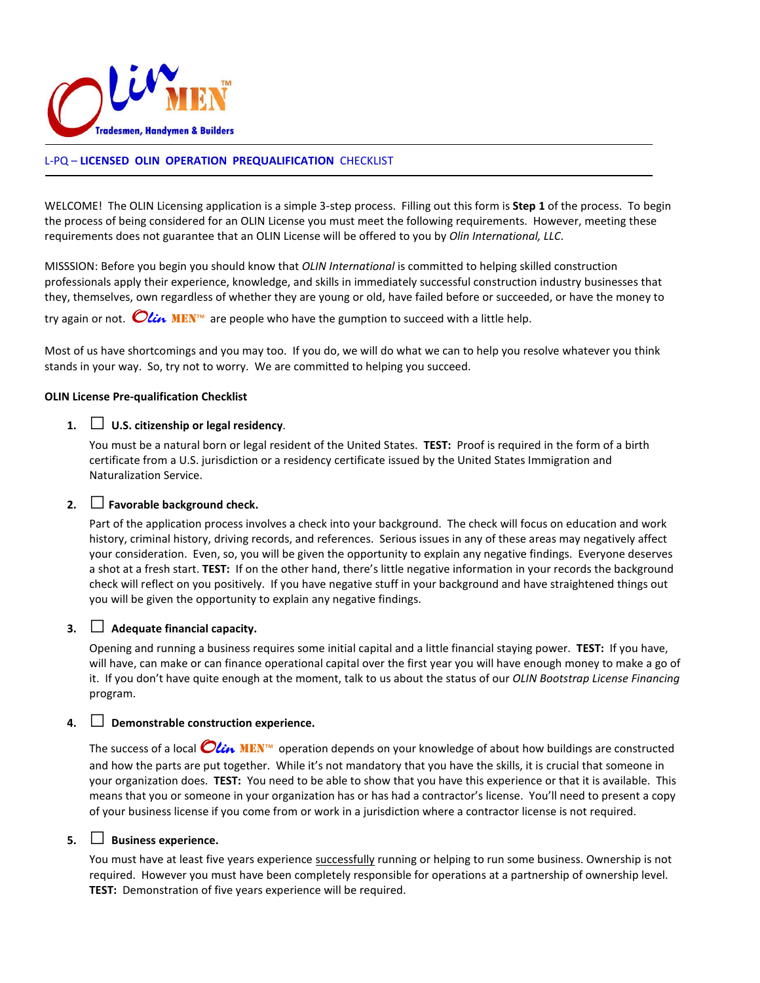

#### L-PQ – LICENSED OLIN OPERATION PREQUALIFICATION CHECKLIST

WELCOME! The OLIN Licensing application is a simple 3-step process. Filling out this form is **Step 1** of the process. To begin the process of being considered for an OLIN License you must meet the following requirements. However, meeting these requirements does not guarantee that an OLIN License will be offered to you by Olin International, LLC.

MISSSION: Before you begin you should know that OLIN International is committed to helping skilled construction professionals apply their experience, knowledge, and skills in immediately successful construction industry businesses that they, themselves, own regardless of whether they are young or old, have failed before or succeeded, or have the money to

try again or not.  $\bigcirc$  *Lin* MEN<sup>m</sup> are people who have the gumption to succeed with a little help.

Most of us have shortcomings and you may too. If you do, we will do what we can to help you resolve whatever you think stands in your way. So, try not to worry. We are committed to helping you succeed.

#### OLIN License Pre-qualification Checklist

#### 1.  $\Box$  U.S. citizenship or legal residency.

You must be a natural born or legal resident of the United States. TEST: Proof is required in the form of a birth certificate from a U.S. jurisdiction or a residency certificate issued by the United States Immigration and Naturalization Service.

## 2.  $\Box$  Favorable background check.

Part of the application process involves a check into your background. The check will focus on education and work history, criminal history, driving records, and references. Serious issues in any of these areas may negatively affect your consideration. Even, so, you will be given the opportunity to explain any negative findings. Everyone deserves a shot at a fresh start. TEST: If on the other hand, there's little negative information in your records the background check will reflect on you positively. If you have negative stuff in your background and have straightened things out you will be given the opportunity to explain any negative findings.

## 3.  $\Box$  Adequate financial capacity.

Opening and running a business requires some initial capital and a little financial staying power. TEST: If you have, will have, can make or can finance operational capital over the first year you will have enough money to make a go of it. If you don't have quite enough at the moment, talk to us about the status of our OLIN Bootstrap License Financing program.

#### 4.  $\Box$  Demonstrable construction experience.

The success of a local  $Olin$  MEN<sup>™</sup> operation depends on your knowledge of about how buildings are constructed and how the parts are put together. While it's not mandatory that you have the skills, it is crucial that someone in your organization does. TEST: You need to be able to show that you have this experience or that it is available. This means that you or someone in your organization has or has had a contractor's license. You'll need to present a copy of your business license if you come from or work in a jurisdiction where a contractor license is not required.

## 5.  $\Box$  Business experience.

You must have at least five years experience successfully running or helping to run some business. Ownership is not required. However you must have been completely responsible for operations at a partnership of ownership level. TEST: Demonstration of five years experience will be required.